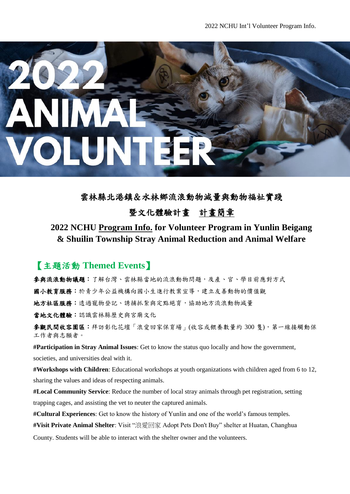

雲林縣北港鎮&水林鄉流浪動物減量與動物福祉實踐

### 暨文化體驗計畫計畫簡章

# **2022 NCHU Program Info. for Volunteer Program in Yunlin Beigang & Shuilin Township Stray Animal Reduction and Animal Welfare**

## 【主題活動 **Themed Events**】

參與流浪動物議題:了解台灣、雲林縣當地的流浪動物問題,及產、官、學目前應對方式 國小教育服務:於青少年公益機構向國小生進行教案宣導,建立友善動物的價值觀 地方社區服務:透過寵物登記、誘捕抓紮與定點絕育,協助地方流浪動物減量 當地文化體驗:認識雲林縣歷史與宮廟文化

參觀民間收容園區:拜訪彰化花壇「浪愛回家保育場」(收容或餵養數量約 300 隻),第一線接觸動保 工作者與志願者。

**#Participation in Stray Animal Issues**: Get to know the status quo locally and how the government, societies, and universities deal with it.

**#Workshops with Children**: Educational workshops at youth organizations with children aged from 6 to 12, sharing the values and ideas of respecting animals.

**#Local Community Service**: Reduce the number of local stray animals through pet registration, setting trapping cages, and assisting the vet to neuter the captured animals.

**#Cultural Experiences**: Get to know the history of Yunlin and one of the world's famous temples.

**#Visit Private Animal Shelter**: Visit "浪愛回家 Adopt Pets Don't Buy" shelter at Huatan, Changhua

County. Students will be able to interact with the shelter owner and the volunteers.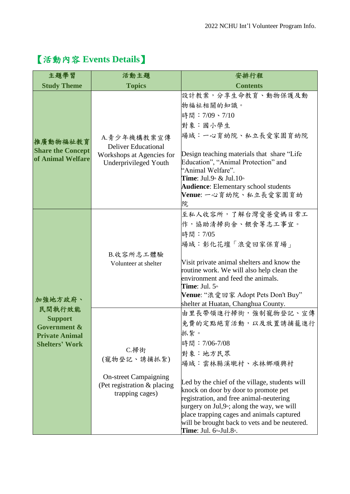| 主題學習                                                                                                             | 活動主題                                                                                                  | 安排行程                                                                                                                                                                                                                                                                                                                                                                                                                                |  |  |
|------------------------------------------------------------------------------------------------------------------|-------------------------------------------------------------------------------------------------------|-------------------------------------------------------------------------------------------------------------------------------------------------------------------------------------------------------------------------------------------------------------------------------------------------------------------------------------------------------------------------------------------------------------------------------------|--|--|
| <b>Study Theme</b><br><b>Topics</b>                                                                              |                                                                                                       | <b>Contents</b>                                                                                                                                                                                                                                                                                                                                                                                                                     |  |  |
| 推廣動物福祉教育<br><b>Share the Concept</b><br>of Animal Welfare                                                        | A.青少年機構教案宣傳<br><b>Deliver Educational</b><br>Workshops at Agencies for<br>Underprivileged Youth       | 設計教案,分享生命教育、動物保護及動<br>物福祉相關的知識。<br>時間: 7/09、7/10<br>對象:國小學生<br>場域:一心育幼院、私立長愛家園育幼院<br>Design teaching materials that share "Life"<br>Education", "Animal Protection" and<br>"Animal Welfare".<br><b>Time</b> : Jul.9 <sup>th</sup> & Jul.10 <sup>th</sup><br><b>Audience:</b> Elementary school students<br>Venue: 一心育幼院、私立長愛家園育幼<br>院                                                                                               |  |  |
| 加強地方政府、<br>民間執行效能<br><b>Support</b><br><b>Government &amp;</b><br><b>Private Animal</b><br><b>Shelters' Work</b> | B.收容所志工體驗<br>Volunteer at shelter                                                                     | 至私人收容所,了解台灣愛爸愛媽日常工<br>作,協助清掃狗舍、餵食等志工事宜。<br>時間:7/05<br> 場域:彰化花壇「浪愛回家保育場」<br>Visit private animal shelters and know the<br>routine work. We will also help clean the<br>environment and feed the animals.<br><b>Time</b> : Jul. $5th$<br><b>Venue</b> : "浪愛回家 Adopt Pets Don't Buy"<br>shelter at Huatan, Changhua County.                                                                                                            |  |  |
|                                                                                                                  | C.掃街<br>(寵物登記、誘捕抓紮)<br><b>On-street Campaigning</b><br>(Pet registration & placing<br>trapping cages) | 由里長帶領進行掃街,強制寵物登記、宣傳<br>免費的定點絕育活動,以及放置誘捕籠進行<br>抓紮。<br>時間: 7/06-7/08<br>對象:地方民眾<br>場域:雲林縣溪墘村、水林鄉順興村<br>Led by the chief of the village, students will<br>knock on door by door to promote pet<br>registration, and free animal-neutering<br>surgery on Jul, $9$ <sup>*</sup> ; along the way, we will<br>place trapping cages and animals captured<br>will be brought back to vets and be neutered.<br>Time: Jul. $6th-$ Jul. $8th$ . |  |  |

# 【活動內容 **Events Details**】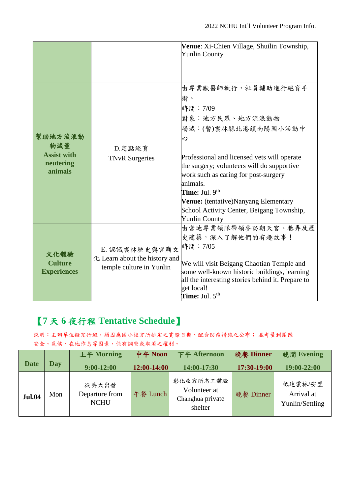|                    |                               | Venue: Xi-Chien Village, Shuilin Township,        |
|--------------------|-------------------------------|---------------------------------------------------|
|                    |                               | <b>Yunlin County</b>                              |
|                    |                               |                                                   |
|                    |                               |                                                   |
|                    |                               |                                                   |
|                    |                               | 由專業獸醫師執行,社員輔助進行絕育手                                |
|                    |                               | 術。                                                |
|                    |                               | 時間:7/09                                           |
|                    |                               | 對象:地方民眾、地方流浪動物                                    |
|                    |                               | 場域:(暫)雲林縣北港鎮南陽國小活動中                               |
| 幫助地方流浪動            |                               | Ş                                                 |
| 物減量                | D. 定點絕育                       |                                                   |
| <b>Assist with</b> | <b>TNvR</b> Surgeries         | Professional and licensed vets will operate       |
| neutering          |                               | the surgery; volunteers will do supportive        |
| animals            |                               | work such as caring for post-surgery              |
|                    |                               | animals.                                          |
|                    |                               | <b>Time:</b> Jul. $9th$                           |
|                    |                               | Venue: (tentative)Nanyang Elementary              |
|                    |                               | School Activity Center, Beigang Township,         |
|                    |                               | <b>Yunlin County</b>                              |
|                    |                               | 由當地專業領隊帶領參訪朝天宮、巷弄及歷                               |
|                    |                               | 史建築,深入了解他們的有趣故事!                                  |
|                    | E. 認識雲林歷史與宮廟文                 | 時間: 7/05                                          |
| 文化體驗               | 化 Learn about the history and |                                                   |
| <b>Culture</b>     |                               | We will visit Beigang Chaotian Temple and         |
| <b>Experiences</b> | temple culture in Yunlin      | some well-known historic buildings, learning      |
|                    |                               | all the interesting stories behind it. Prepare to |
|                    |                               | get local!                                        |
|                    |                               | <b>Time:</b> Jul. $5^{\text{th}}$                 |

# 【**7** 天 **6** 夜行程 **Tentative Schedule**】

說明:主辦單位擬定行程,須因應國小校方所排定之實際日期、配合防疫措施之公布; 並考量到團隊 安全、氣候、在地作息等因素,保有調整或取消之權利。

|               |     | 上午 Morning                             | 中午 Noon       | 下午 Afternoon                                             | 晚餐 Dinner   | 晚間 Evening                               |
|---------------|-----|----------------------------------------|---------------|----------------------------------------------------------|-------------|------------------------------------------|
| <b>Date</b>   | Day | $9:00-12:00$                           | $12:00-14:00$ | 14:00-17:30                                              | 17:30-19:00 | 19:00-22:00                              |
| <b>Jul.04</b> | Mon | 從興大出發<br>Departure from<br><b>NCHU</b> | 午餐 Lunch      | 彰化收容所志工體驗<br>Volunteer at<br>Changhua private<br>shelter | 晚餐 Dinner   | 抵達雲林/安置<br>Arrival at<br>Yunlin/Settling |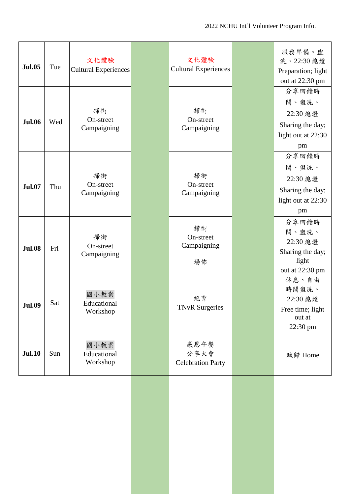| <b>Jul.05</b> | Tue | 文化體驗<br>Cultural Experiences    | 文化體驗<br><b>Cultural Experiences</b>      | 服務準備。盥<br>洗、22:30 熄燈<br>Preparation; light<br>out at 22:30 pm              |
|---------------|-----|---------------------------------|------------------------------------------|----------------------------------------------------------------------------|
| <b>Jul.06</b> | Wed | 掃街<br>On-street<br>Campaigning  | 掃街<br>On-street<br>Campaigning           | 分享回饋時<br>間、盥洗、<br>22:30 熄燈<br>Sharing the day;<br>light out at 22:30<br>pm |
| <b>Jul.07</b> | Thu | 掃街<br>On-street<br>Campaigning  | 掃街<br>On-street<br>Campaigning           | 分享回饋時<br>間、盥洗、<br>22:30 熄燈<br>Sharing the day;<br>light out at 22:30<br>pm |
| <b>Jul.08</b> | Fri | 掃街<br>On-street<br>Campaigning  | 掃街<br>On-street<br>Campaigning<br>場佈     | 分享回饋時<br>間、盥洗、<br>22:30 熄燈<br>Sharing the day;<br>light<br>out at 22:30 pm |
| <b>Jul.09</b> | Sat | 國小教案<br>Educational<br>Workshop | 絕育<br><b>TNvR Surgeries</b>              | 休息、自由<br>時間盥洗、<br>22:30 熄燈<br>Free time; light<br>out at<br>22:30 pm       |
| <b>Jul.10</b> | Sun | 國小教案<br>Educational<br>Workshop | 感恩午餐<br>分享大會<br><b>Celebration Party</b> | 賦歸 Home                                                                    |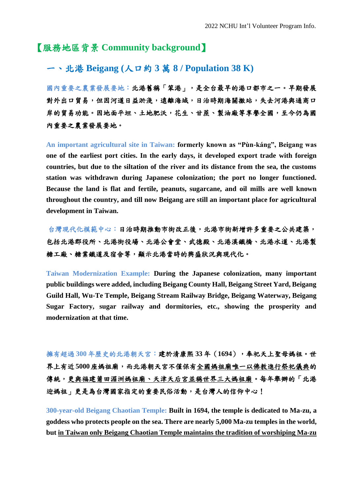### 【服務地區背景 **Community background**】

### 一、北港 **Beigang (**人口約 **3** 萬 **8 / Population 38 K)**

國內重要之農業發展要地:北港舊稱「笨港」,是全台最早的港口都市之一。早期發展 對外出口貿易,但因河道日益淤淺,遠離海域,日治時期海關撤站,失去河港與通商口 岸的貿易功能。因地面平坦、土地肥沃,花生、甘蔗、製油廠等享譽全國,至今仍為國 內重要之農業發展要地。

**An important agricultural site in Taiwan: formerly known as "Pùn-káng", Beigang was one of the earliest port cities. In the early days, it developed export trade with foreign countries, but due to the siltation of the river and its distance from the sea, the customs station was withdrawn during Japanese colonization; the port no longer functioned. Because the land is flat and fertile, peanuts, sugarcane, and oil mills are well known throughout the country, and till now Beigang are still an important place for agricultural development in Taiwan.**

台灣現代化模範中心:日治時期推動市街改正後,北港市街新增許多重要之公共建築, 包括北港郡役所、北港街役場、北港公會堂、武德殿、北港溪鐵橋、北港水道、北港製 糖工廠、糖業鐵道及宿舍等,顯示北港當時的興盛狀況與現代化。

**Taiwan Modernization Example: During the Japanese colonization, many important public buildings were added, including Beigang County Hall, Beigang Street Yard, Beigang Guild Hall, Wu-Te Temple, Beigang Stream Railway Bridge, Beigang Waterway, Beigang Sugar Factory, sugar railway and dormitories, etc., showing the prosperity and modernization at that time.**

擁有超過 **300** 年歷史的北港朝天宮:建於清康熙 **33** 年(**1694**),奉祀天上聖母媽祖。世 界上有近 **5000**座媽祖廟,而北港朝天宮不僅保有全國媽祖廟唯一以佛教進行祭祀儀典的 傳統,更與福建莆田湄洲媽祖廟、天津天后宮並稱世界三大媽祖廟。每年舉辦的「北港 迎媽祖」更是為台灣國家指定的重要民俗活動,是台灣人的信仰中心!

**300-year-old Beigang Chaotian Temple: Built in 1694, the temple is dedicated to Ma-zu, a goddess who protects people on the sea. There are nearly 5,000 Ma-zu temples in the world, but in Taiwan only Beigang Chaotian Temple maintains the tradition of worshiping Ma-zu**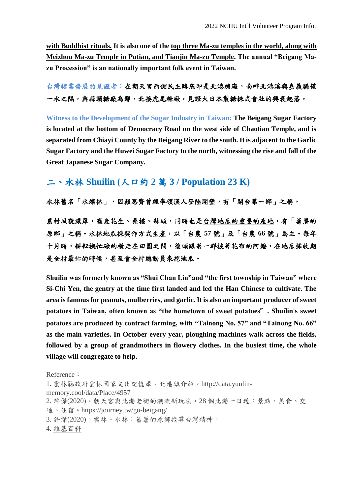**with Buddhist rituals. It is also one of the top three Ma-zu temples in the world, along with Meizhou Ma-zu Temple in Putian, and Tianjin Ma-zu Temple. The annual "Beigang Mazu Procession" is an nationally important folk event in Taiwan.**

### 台灣糖業發展的見證者:在朝天宮西側民主路底即是北港糖廠,南畔北港溪與嘉義縣僅 一水之隔,與蒜頭糖廠為鄰,北接虎尾糖廠,見證大日本製糖株式會社的興衰起落。

**Witness to the Development of the Sugar Industry in Taiwan: The Beigang Sugar Factory is located at the bottom of Democracy Road on the west side of Chaotian Temple, and is separated from Chiayi County by the Beigang River to the south. It is adjacent to the Garlic Sugar Factory and the Huwei Sugar Factory to the north, witnessing the rise and fall of the Great Japanese Sugar Company.**

### 二、水林 **Shuilin (**人口約 **2** 萬 **3 / Population 23 K)**

水林舊名「水燦林」,因顏思齊曾經率領漢人登陸開墾,有「開台第一鄉」之稱。

農村風貌濃厚,盛產花生、桑椹、蒜頭,同時也是台灣地瓜的重要的產地,有「蕃薯的 原鄉」之稱。水林地瓜採契作方式生產,以「台農 **57** 號」及「台農 **66** 號」為主。每年 十月時,耕耘機忙碌的橫走在田園之間,後頭跟著一群披著花布的阿嬤,在地瓜採收期 是全村最忙的時候,甚至會全村總動員來挖地瓜。

**Shuilin was formerly known as "Shui Chan Lin"and "the first township in Taiwan" where Si-Chi Yen, the gentry at the time first landed and led the Han Chinese to cultivate. The area is famous for peanuts, mulberries, and garlic. It is also an important producer of sweet potatoes in Taiwan, often known as "the hometown of sweet potatoes**"**. Shuilin's sweet potatoes are produced by contract farming, with "Tainong No. 57" and "Tainong No. 66" as the main varieties. In October every year, ploughing machines walk across the fields, followed by a group of grandmothers in flowery clothes. In the busiest time, the whole village will congregate to help.**

Reference: 1. 雲林縣政府雲林國家文化記憶庫。北港鎮介紹。http://data.yunlinmemory.cool/data/Place/4957 2. 許傑(2020)。朝天宮與北港老街的潮流新玩法・28 個北港一日遊:景點、美食、交 通、住宿。https://journey.tw/go-beigang/ 3. 許傑(2020)。雲林、水林[:蕃薯的原鄉找尋台灣精神。](https://journey.tw/go-shuilin/) 4[.](https://zh.wikipedia.org/wiki/%E5%8C%97%E6%B8%AF%E9%8E%AE_(%E5%8F%B0%E7%81%A3)) [維基百科](https://zh.wikipedia.org/wiki/%E5%8C%97%E6%B8%AF%E9%8E%AE_(%E5%8F%B0%E7%81%A3))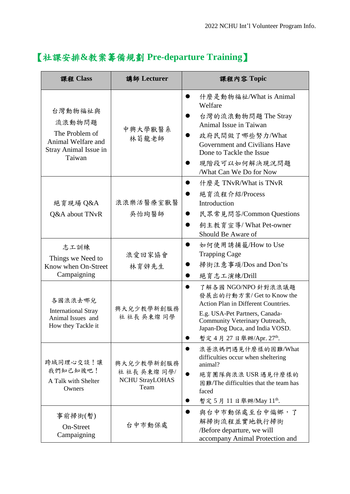| 【社課安排&教案籌備規劃 Pre-departure Training】 |  |
|--------------------------------------|--|
|--------------------------------------|--|

| 課程 Class                                                                                     | 講師 Lecturer                                                 | 課程內容 Topic                                                                                                                                                                                                            |
|----------------------------------------------------------------------------------------------|-------------------------------------------------------------|-----------------------------------------------------------------------------------------------------------------------------------------------------------------------------------------------------------------------|
| 台灣動物福祉與<br>流浪動物問題<br>The Problem of<br>Animal Welfare and<br>Stray Animal Issue in<br>Taiwan | 中興大學獸醫系<br>林荀龍老師                                            | 什麼是動物福祉/What is Animal<br>Welfare<br>台灣的流浪動物問題 The Stray<br>Animal Issue in Taiwan<br>政府民間做了哪些努力/What<br>Government and Civilians Have<br>Done to Tackle the Issue<br>現階段可以如何解決現況問題<br>/What Can We Do for Now        |
| 絕育現場 Q&A<br>Q&A about TNvR                                                                   | 浪浪樂活醫療室獸醫<br>吳怡珣醫師                                          | 什麼是 TNvR/What is TNvR<br>絕育流程介紹/Process<br>Introduction<br>民眾常見問答/Common Questions<br>飼主教育宣導/What Pet-owner<br>Should Be Aware of                                                                                     |
| 志工訓練<br>Things we Need to<br>Know when On-Street<br>Campaigning                              | 浪愛回家協會<br>林育辤先生                                             | 如何使用誘捕籠/How to Use<br><b>Trapping Cage</b><br>掃街注意事項/Dos and Don'ts<br>絕育志工演練/Drill                                                                                                                                   |
| 各國浪浪去哪兒<br><b>International Stray</b><br>Animal Issues and<br>How they Tackle it             | 興大兒少教學新創服務<br>社社長吳東燦同學                                      | 了解各國 NGO/NPO 針對浪浪議題<br>發展出的行動方案/Get to Know the<br>Action Plan in Different Countries.<br>E.g. USA-Pet Partners, Canada-<br>Community Veterinary Outreach,<br>Japan-Dog Duca, and India VOSD.<br>暫定4月27日舉辦/Apr. 27th. |
| 跨域同理心交談!讓<br>我們知己知彼吧!<br>A Talk with Shelter<br>Owners                                       | 興大兒少教學新創服務<br>社社長 吳東燦 同學/<br><b>NCHU StrayLOHAS</b><br>Team | 浪爸浪媽們遇見什麼樣的困難/What<br>difficulties occur when sheltering<br>animal?<br>絕育團隊與浪浪 USR 遇見什麼樣的<br>困難/The difficulties that the team has<br>faced<br>暫定 5 月 11 日舉辦/May 11th.                                                |
| 事前掃街(暫)<br>On-Street<br>Campaigning                                                          | 台中市動保處                                                      | 與台中市動保處至台中偏鄉,了<br>解掃街流程並實地執行掃街<br>/Before departure, we will<br>accompany Animal Protection and                                                                                                                       |